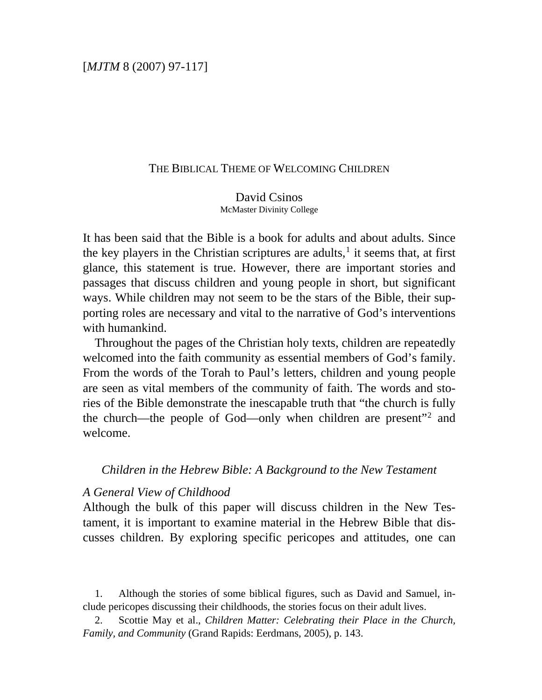## THE BIBLICAL THEME OF WELCOMING CHILDREN

## David Csinos McMaster Divinity College

It has been said that the Bible is a book for adults and about adults. Since the key players in the Christian scriptures are adults,  $\frac{1}{1}$  $\frac{1}{1}$  $\frac{1}{1}$  it seems that, at first glance, this statement is true. However, there are important stories and passages that discuss children and young people in short, but significant ways. While children may not seem to be the stars of the Bible, their supporting roles are necessary and vital to the narrative of God's interventions with humankind.

 Throughout the pages of the Christian holy texts, children are repeatedly welcomed into the faith community as essential members of God's family. From the words of the Torah to Paul's letters, children and young people are seen as vital members of the community of faith. The words and stories of the Bible demonstrate the inescapable truth that "the church is fully the church—the people of God—only when children are present"[2](#page-0-1) and welcome.

# *Children in the Hebrew Bible: A Background to the New Testament*

# *A General View of Childhood*

Although the bulk of this paper will discuss children in the New Testament, it is important to examine material in the Hebrew Bible that discusses children. By exploring specific pericopes and attitudes, one can

<span id="page-0-0"></span> 1. Although the stories of some biblical figures, such as David and Samuel, include pericopes discussing their childhoods, the stories focus on their adult lives.

<span id="page-0-1"></span> 2. Scottie May et al., *Children Matter: Celebrating their Place in the Church, Family, and Community* (Grand Rapids: Eerdmans, 2005), p. 143.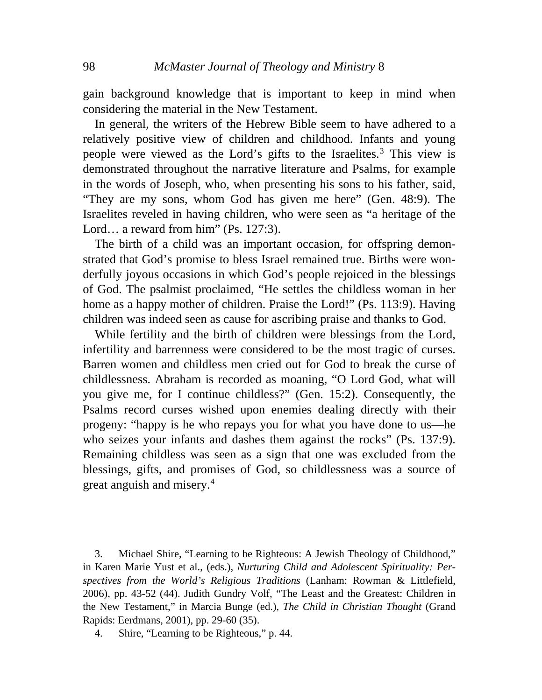gain background knowledge that is important to keep in mind when considering the material in the New Testament.

 In general, the writers of the Hebrew Bible seem to have adhered to a relatively positive view of children and childhood. Infants and young people were viewed as the Lord's gifts to the Israelites.<sup>[3](#page-1-0)</sup> This view is demonstrated throughout the narrative literature and Psalms, for example in the words of Joseph, who, when presenting his sons to his father, said, "They are my sons, whom God has given me here" (Gen. 48:9). The Israelites reveled in having children, who were seen as "a heritage of the Lord… a reward from him" (Ps. 127:3).

 The birth of a child was an important occasion, for offspring demonstrated that God's promise to bless Israel remained true. Births were wonderfully joyous occasions in which God's people rejoiced in the blessings of God. The psalmist proclaimed, "He settles the childless woman in her home as a happy mother of children. Praise the Lord!" (Ps. 113:9). Having children was indeed seen as cause for ascribing praise and thanks to God.

 While fertility and the birth of children were blessings from the Lord, infertility and barrenness were considered to be the most tragic of curses. Barren women and childless men cried out for God to break the curse of childlessness. Abraham is recorded as moaning, "O Lord God, what will you give me, for I continue childless?" (Gen. 15:2). Consequently, the Psalms record curses wished upon enemies dealing directly with their progeny: "happy is he who repays you for what you have done to us—he who seizes your infants and dashes them against the rocks" (Ps. 137:9). Remaining childless was seen as a sign that one was excluded from the blessings, gifts, and promises of God, so childlessness was a source of great anguish and misery.[4](#page-1-1)

<span id="page-1-0"></span> 3. Michael Shire, "Learning to be Righteous: A Jewish Theology of Childhood," in Karen Marie Yust et al., (eds.), *Nurturing Child and Adolescent Spirituality: Perspectives from the World's Religious Traditions* (Lanham: Rowman & Littlefield, 2006), pp. 43-52 (44). Judith Gundry Volf, "The Least and the Greatest: Children in the New Testament," in Marcia Bunge (ed.), *The Child in Christian Thought* (Grand Rapids: Eerdmans, 2001), pp. 29-60 (35).

<span id="page-1-1"></span>4. Shire, "Learning to be Righteous," p. 44.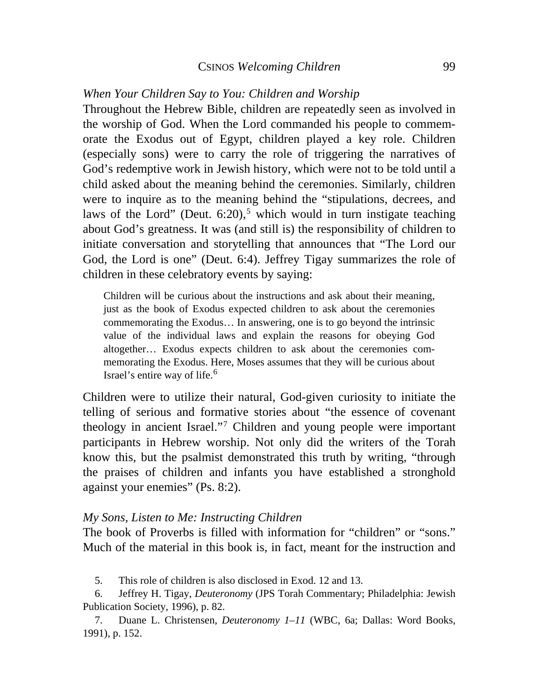## CSINOS *Welcoming Children* 99

### *When Your Children Say to You: Children and Worship*

Throughout the Hebrew Bible, children are repeatedly seen as involved in the worship of God. When the Lord commanded his people to commemorate the Exodus out of Egypt, children played a key role. Children (especially sons) were to carry the role of triggering the narratives of God's redemptive work in Jewish history, which were not to be told until a child asked about the meaning behind the ceremonies. Similarly, children were to inquire as to the meaning behind the "stipulations, decrees, and laws of the Lord" (Deut. 6:20),<sup>[5](#page-2-0)</sup> which would in turn instigate teaching about God's greatness. It was (and still is) the responsibility of children to initiate conversation and storytelling that announces that "The Lord our God, the Lord is one" (Deut. 6:4). Jeffrey Tigay summarizes the role of children in these celebratory events by saying:

Children will be curious about the instructions and ask about their meaning, just as the book of Exodus expected children to ask about the ceremonies commemorating the Exodus… In answering, one is to go beyond the intrinsic value of the individual laws and explain the reasons for obeying God altogether… Exodus expects children to ask about the ceremonies commemorating the Exodus. Here, Moses assumes that they will be curious about Israel's entire way of life.[6](#page-2-1)

Children were to utilize their natural, God-given curiosity to initiate the telling of serious and formative stories about "the essence of covenant theology in ancient Israel."[7](#page-2-2) Children and young people were important participants in Hebrew worship. Not only did the writers of the Torah know this, but the psalmist demonstrated this truth by writing, "through the praises of children and infants you have established a stronghold against your enemies" (Ps. 8:2).

### *My Sons, Listen to Me: Instructing Children*

The book of Proverbs is filled with information for "children" or "sons." Much of the material in this book is, in fact, meant for the instruction and

5. This role of children is also disclosed in Exod. 12 and 13.

<span id="page-2-1"></span><span id="page-2-0"></span> 6. Jeffrey H. Tigay, *Deuteronomy* (JPS Torah Commentary; Philadelphia: Jewish Publication Society, 1996), p. 82.

<span id="page-2-2"></span> 7. Duane L. Christensen, *Deuteronomy 1–11* (WBC, 6a; Dallas: Word Books, 1991), p. 152.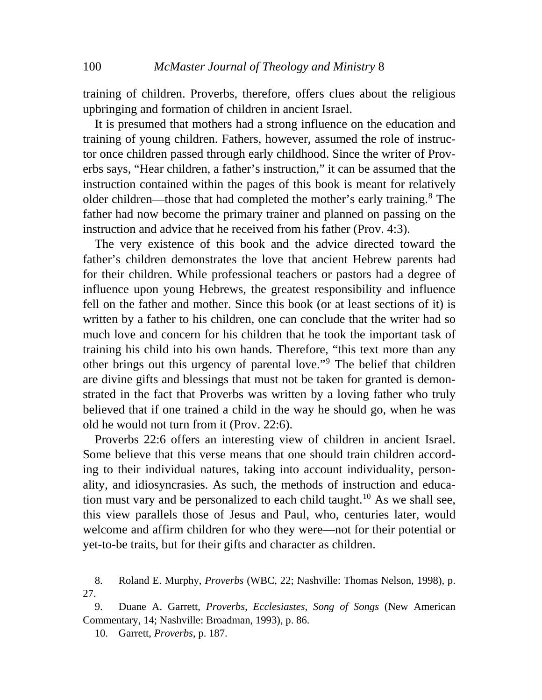training of children. Proverbs, therefore, offers clues about the religious upbringing and formation of children in ancient Israel.

 It is presumed that mothers had a strong influence on the education and training of young children. Fathers, however, assumed the role of instructor once children passed through early childhood. Since the writer of Proverbs says, "Hear children, a father's instruction," it can be assumed that the instruction contained within the pages of this book is meant for relatively older children—those that had completed the mother's early training.[8](#page-3-0) The father had now become the primary trainer and planned on passing on the instruction and advice that he received from his father (Prov. 4:3).

 The very existence of this book and the advice directed toward the father's children demonstrates the love that ancient Hebrew parents had for their children. While professional teachers or pastors had a degree of influence upon young Hebrews, the greatest responsibility and influence fell on the father and mother. Since this book (or at least sections of it) is written by a father to his children, one can conclude that the writer had so much love and concern for his children that he took the important task of training his child into his own hands. Therefore, "this text more than any other brings out this urgency of parental love."[9](#page-3-1) The belief that children are divine gifts and blessings that must not be taken for granted is demonstrated in the fact that Proverbs was written by a loving father who truly believed that if one trained a child in the way he should go, when he was old he would not turn from it (Prov. 22:6).

 Proverbs 22:6 offers an interesting view of children in ancient Israel. Some believe that this verse means that one should train children according to their individual natures, taking into account individuality, personality, and idiosyncrasies. As such, the methods of instruction and educa-tion must vary and be personalized to each child taught.<sup>[10](#page-3-2)</sup> As we shall see, this view parallels those of Jesus and Paul, who, centuries later, would welcome and affirm children for who they were—not for their potential or yet-to-be traits, but for their gifts and character as children.

<span id="page-3-2"></span><span id="page-3-1"></span> 9. Duane A. Garrett, *Proverbs, Ecclesiastes, Song of Songs* (New American Commentary, 14; Nashville: Broadman, 1993), p. 86.

10. Garrett, *Proverbs*, p. 187.

<span id="page-3-0"></span> <sup>8.</sup> Roland E. Murphy, *Proverbs* (WBC, 22; Nashville: Thomas Nelson, 1998), p. 27.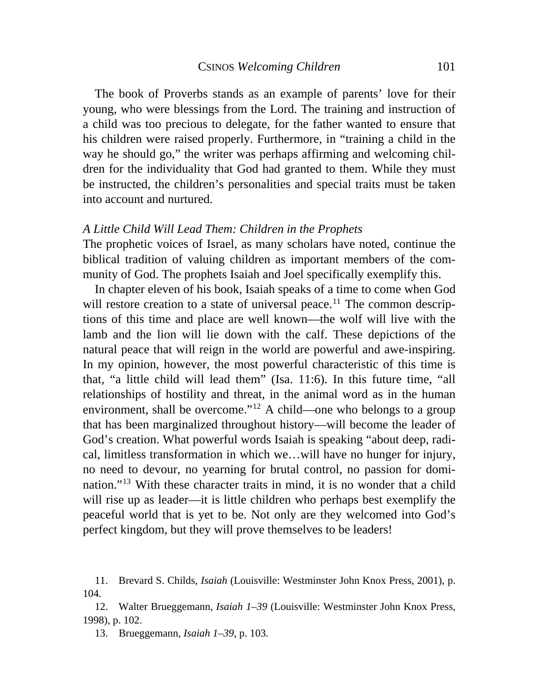The book of Proverbs stands as an example of parents' love for their young, who were blessings from the Lord. The training and instruction of a child was too precious to delegate, for the father wanted to ensure that his children were raised properly. Furthermore, in "training a child in the way he should go," the writer was perhaps affirming and welcoming children for the individuality that God had granted to them. While they must be instructed, the children's personalities and special traits must be taken into account and nurtured.

## *A Little Child Will Lead Them: Children in the Prophets*

The prophetic voices of Israel, as many scholars have noted, continue the biblical tradition of valuing children as important members of the community of God. The prophets Isaiah and Joel specifically exemplify this.

 In chapter eleven of his book, Isaiah speaks of a time to come when God will restore creation to a state of universal peace.<sup>[11](#page-4-0)</sup> The common descriptions of this time and place are well known—the wolf will live with the lamb and the lion will lie down with the calf. These depictions of the natural peace that will reign in the world are powerful and awe-inspiring. In my opinion, however, the most powerful characteristic of this time is that, "a little child will lead them" (Isa. 11:6). In this future time, "all relationships of hostility and threat, in the animal word as in the human environment, shall be overcome."<sup>[12](#page-4-1)</sup> A child—one who belongs to a group that has been marginalized throughout history—will become the leader of God's creation. What powerful words Isaiah is speaking "about deep, radical, limitless transformation in which we…will have no hunger for injury, no need to devour, no yearning for brutal control, no passion for domination."[13](#page-4-2) With these character traits in mind, it is no wonder that a child will rise up as leader—it is little children who perhaps best exemplify the peaceful world that is yet to be. Not only are they welcomed into God's perfect kingdom, but they will prove themselves to be leaders!

<span id="page-4-0"></span> 11. Brevard S. Childs, *Isaiah* (Louisville: Westminster John Knox Press, 2001), p. 104.

<span id="page-4-2"></span><span id="page-4-1"></span> 12. Walter Brueggemann, *Isaiah 1–39* (Louisville: Westminster John Knox Press, 1998), p. 102.

13. Brueggemann, *Isaiah 1*–*39*, p. 103.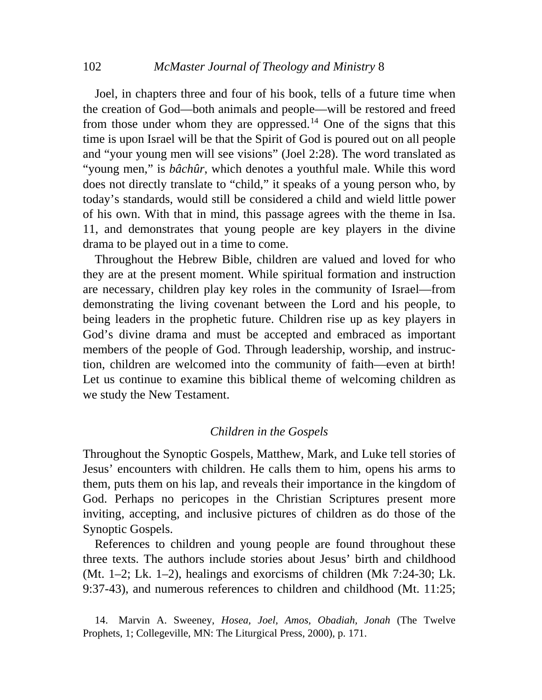Joel, in chapters three and four of his book, tells of a future time when the creation of God—both animals and people—will be restored and freed from those under whom they are oppressed.<sup>[14](#page-5-0)</sup> One of the signs that this time is upon Israel will be that the Spirit of God is poured out on all people and "your young men will see visions" (Joel 2:28). The word translated as "young men," is *bâchûr*, which denotes a youthful male. While this word does not directly translate to "child," it speaks of a young person who, by today's standards, would still be considered a child and wield little power of his own. With that in mind, this passage agrees with the theme in Isa. 11, and demonstrates that young people are key players in the divine drama to be played out in a time to come.

 Throughout the Hebrew Bible, children are valued and loved for who they are at the present moment. While spiritual formation and instruction are necessary, children play key roles in the community of Israel—from demonstrating the living covenant between the Lord and his people, to being leaders in the prophetic future. Children rise up as key players in God's divine drama and must be accepted and embraced as important members of the people of God. Through leadership, worship, and instruction, children are welcomed into the community of faith—even at birth! Let us continue to examine this biblical theme of welcoming children as we study the New Testament.

#### *Children in the Gospels*

Throughout the Synoptic Gospels, Matthew, Mark, and Luke tell stories of Jesus' encounters with children. He calls them to him, opens his arms to them, puts them on his lap, and reveals their importance in the kingdom of God. Perhaps no pericopes in the Christian Scriptures present more inviting, accepting, and inclusive pictures of children as do those of the Synoptic Gospels.

 References to children and young people are found throughout these three texts. The authors include stories about Jesus' birth and childhood (Mt. 1–2; Lk. 1–2), healings and exorcisms of children (Mk 7:24-30; Lk. 9:37-43), and numerous references to children and childhood (Mt. 11:25;

<span id="page-5-0"></span> 14. Marvin A. Sweeney, *Hosea, Joel, Amos, Obadiah, Jonah* (The Twelve Prophets, 1; Collegeville, MN: The Liturgical Press, 2000), p. 171.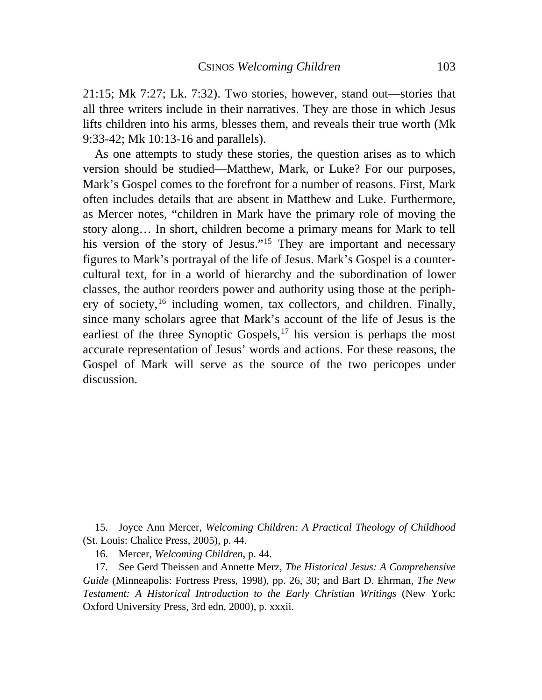21:15; Mk 7:27; Lk. 7:32). Two stories, however, stand out—stories that all three writers include in their narratives. They are those in which Jesus lifts children into his arms, blesses them, and reveals their true worth (Mk 9:33-42; Mk 10:13-16 and parallels).

 As one attempts to study these stories, the question arises as to which version should be studied—Matthew, Mark, or Luke? For our purposes, Mark's Gospel comes to the forefront for a number of reasons. First, Mark often includes details that are absent in Matthew and Luke. Furthermore, as Mercer notes, "children in Mark have the primary role of moving the story along… In short, children become a primary means for Mark to tell his version of the story of Jesus."<sup>[15](#page-6-0)</sup> They are important and necessary figures to Mark's portrayal of the life of Jesus. Mark's Gospel is a countercultural text, for in a world of hierarchy and the subordination of lower classes, the author reorders power and authority using those at the periph-ery of society,<sup>[16](#page-6-1)</sup> including women, tax collectors, and children. Finally, since many scholars agree that Mark's account of the life of Jesus is the earliest of the three Synoptic Gospels,  $17$  his version is perhaps the most accurate representation of Jesus' words and actions. For these reasons, the Gospel of Mark will serve as the source of the two pericopes under discussion.

<span id="page-6-0"></span> 15. Joyce Ann Mercer, *Welcoming Children: A Practical Theology of Childhood* (St. Louis: Chalice Press, 2005), p. 44.

16. Mercer, *Welcoming Children*, p. 44.

<span id="page-6-2"></span><span id="page-6-1"></span> 17. See Gerd Theissen and Annette Merz, *The Historical Jesus: A Comprehensive Guide* (Minneapolis: Fortress Press, 1998), pp. 26, 30; and Bart D. Ehrman, *The New Testament: A Historical Introduction to the Early Christian Writings* (New York: Oxford University Press, 3rd edn, 2000), p. xxxii.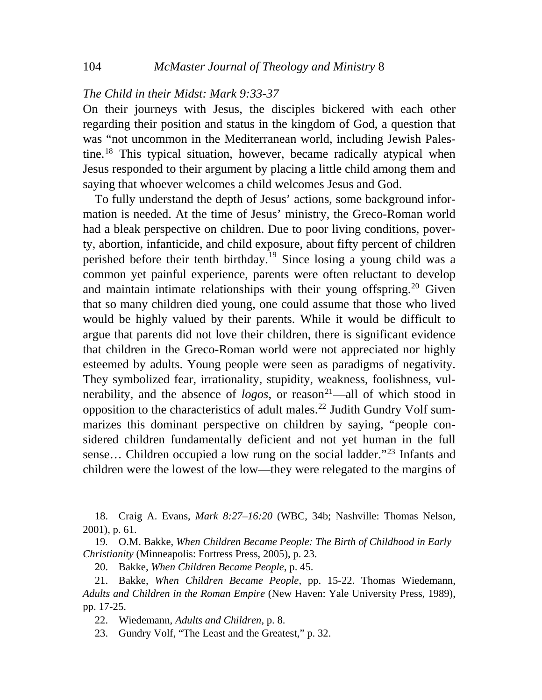## *The Child in their Midst: Mark 9:33-37*

On their journeys with Jesus, the disciples bickered with each other regarding their position and status in the kingdom of God, a question that was "not uncommon in the Mediterranean world, including Jewish Palestine.[18](#page-7-0) This typical situation, however, became radically atypical when Jesus responded to their argument by placing a little child among them and saying that whoever welcomes a child welcomes Jesus and God.

 To fully understand the depth of Jesus' actions, some background information is needed. At the time of Jesus' ministry, the Greco-Roman world had a bleak perspective on children. Due to poor living conditions, poverty, abortion, infanticide, and child exposure, about fifty percent of children perished before their tenth birthday.<sup>[19](#page-7-1)</sup> Since losing a young child was a common yet painful experience, parents were often reluctant to develop and maintain intimate relationships with their young offspring.<sup>[20](#page-7-2)</sup> Given that so many children died young, one could assume that those who lived would be highly valued by their parents. While it would be difficult to argue that parents did not love their children, there is significant evidence that children in the Greco-Roman world were not appreciated nor highly esteemed by adults. Young people were seen as paradigms of negativity. They symbolized fear, irrationality, stupidity, weakness, foolishness, vulnerability, and the absence of *logos*, or reason<sup>[21](#page-7-3)</sup>—all of which stood in opposition to the characteristics of adult males.<sup>[22](#page-7-4)</sup> Judith Gundry Volf summarizes this dominant perspective on children by saying, "people considered children fundamentally deficient and not yet human in the full sense... Children occupied a low rung on the social ladder."<sup>[23](#page-7-5)</sup> Infants and children were the lowest of the low—they were relegated to the margins of

<span id="page-7-0"></span> 18. Craig A. Evans, *Mark 8:27–16:20* (WBC, 34b; Nashville: Thomas Nelson, 2001), p. 61.

<span id="page-7-1"></span>19. O.M. Bakke, *When Children Became People: The Birth of Childhood in Early Christianity* (Minneapolis: Fortress Press, 2005), p. 23.

20. Bakke, *When Children Became People*, p. 45.

<span id="page-7-4"></span><span id="page-7-3"></span><span id="page-7-2"></span> 21. Bakke, *When Children Became People*, pp. 15-22. Thomas Wiedemann, *Adults and Children in the Roman Empire* (New Haven: Yale University Press, 1989), pp. 17-25.

22. Wiedemann, *Adults and Children*, p. 8.

<span id="page-7-5"></span>23. Gundry Volf, "The Least and the Greatest," p. 32.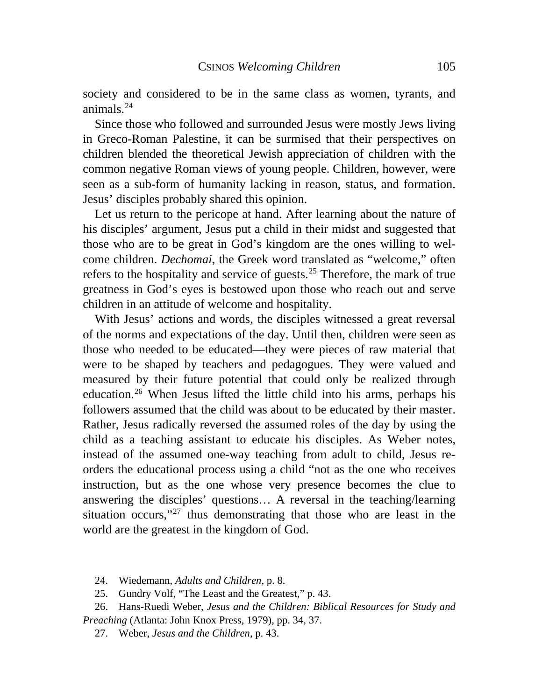society and considered to be in the same class as women, tyrants, and animals. $24$ 

 Since those who followed and surrounded Jesus were mostly Jews living in Greco-Roman Palestine, it can be surmised that their perspectives on children blended the theoretical Jewish appreciation of children with the common negative Roman views of young people. Children, however, were seen as a sub-form of humanity lacking in reason, status, and formation. Jesus' disciples probably shared this opinion.

 Let us return to the pericope at hand. After learning about the nature of his disciples' argument, Jesus put a child in their midst and suggested that those who are to be great in God's kingdom are the ones willing to welcome children. *Dechomai*, the Greek word translated as "welcome," often refers to the hospitality and service of guests.<sup>[25](#page-8-1)</sup> Therefore, the mark of true greatness in God's eyes is bestowed upon those who reach out and serve children in an attitude of welcome and hospitality.

 With Jesus' actions and words, the disciples witnessed a great reversal of the norms and expectations of the day. Until then, children were seen as those who needed to be educated—they were pieces of raw material that were to be shaped by teachers and pedagogues. They were valued and measured by their future potential that could only be realized through education.[26](#page-8-2) When Jesus lifted the little child into his arms, perhaps his followers assumed that the child was about to be educated by their master. Rather, Jesus radically reversed the assumed roles of the day by using the child as a teaching assistant to educate his disciples. As Weber notes, instead of the assumed one-way teaching from adult to child, Jesus reorders the educational process using a child "not as the one who receives instruction, but as the one whose very presence becomes the clue to answering the disciples' questions… A reversal in the teaching/learning situation occurs,"<sup>[27](#page-8-3)</sup> thus demonstrating that those who are least in the world are the greatest in the kingdom of God.

24. Wiedemann, *Adults and Children*, p. 8.

25. Gundry Volf, "The Least and the Greatest," p. 43.

<span id="page-8-3"></span><span id="page-8-2"></span><span id="page-8-1"></span><span id="page-8-0"></span> 26. Hans-Ruedi Weber, *Jesus and the Children: Biblical Resources for Study and Preaching* (Atlanta: John Knox Press, 1979), pp. 34, 37.

27. Weber, *Jesus and the Children*, p. 43.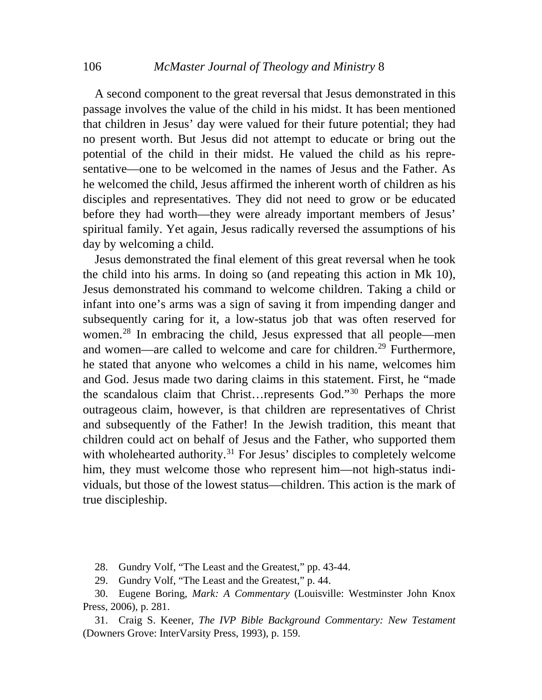A second component to the great reversal that Jesus demonstrated in this passage involves the value of the child in his midst. It has been mentioned that children in Jesus' day were valued for their future potential; they had no present worth. But Jesus did not attempt to educate or bring out the potential of the child in their midst. He valued the child as his representative—one to be welcomed in the names of Jesus and the Father. As he welcomed the child, Jesus affirmed the inherent worth of children as his disciples and representatives. They did not need to grow or be educated before they had worth—they were already important members of Jesus' spiritual family. Yet again, Jesus radically reversed the assumptions of his day by welcoming a child.

 Jesus demonstrated the final element of this great reversal when he took the child into his arms. In doing so (and repeating this action in Mk 10), Jesus demonstrated his command to welcome children. Taking a child or infant into one's arms was a sign of saving it from impending danger and subsequently caring for it, a low-status job that was often reserved for women.<sup>[28](#page-9-0)</sup> In embracing the child, Jesus expressed that all people—men and women—are called to welcome and care for children.<sup>[29](#page-9-1)</sup> Furthermore, he stated that anyone who welcomes a child in his name, welcomes him and God. Jesus made two daring claims in this statement. First, he "made the scandalous claim that Christ…represents God."[30](#page-9-2) Perhaps the more outrageous claim, however, is that children are representatives of Christ and subsequently of the Father! In the Jewish tradition, this meant that children could act on behalf of Jesus and the Father, who supported them with wholehearted authority.<sup>[31](#page-9-3)</sup> For Jesus' disciples to completely welcome him, they must welcome those who represent him—not high-status individuals, but those of the lowest status—children. This action is the mark of true discipleship.

28. Gundry Volf, "The Least and the Greatest," pp. 43-44.

29. Gundry Volf, "The Least and the Greatest," p. 44.

<span id="page-9-2"></span><span id="page-9-1"></span><span id="page-9-0"></span> 30. Eugene Boring, *Mark: A Commentary* (Louisville: Westminster John Knox Press, 2006), p. 281.

<span id="page-9-3"></span> 31. Craig S. Keener, *The IVP Bible Background Commentary: New Testament* (Downers Grove: InterVarsity Press, 1993), p. 159.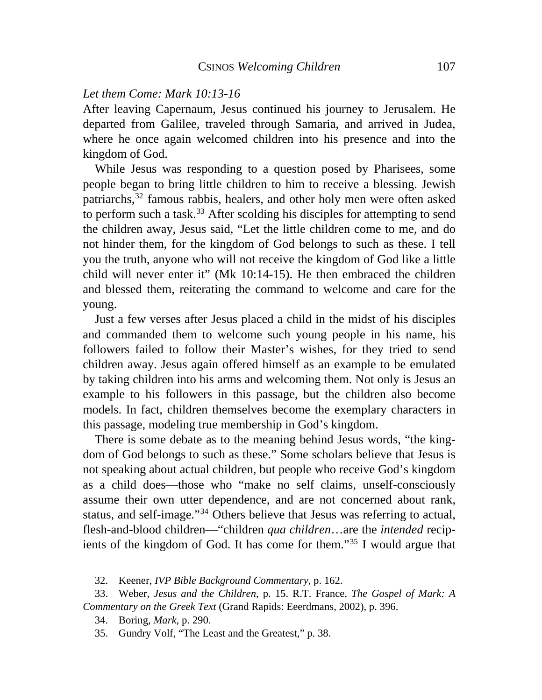## *Let them Come: Mark 10:13-16*

After leaving Capernaum, Jesus continued his journey to Jerusalem. He departed from Galilee, traveled through Samaria, and arrived in Judea, where he once again welcomed children into his presence and into the kingdom of God.

 While Jesus was responding to a question posed by Pharisees, some people began to bring little children to him to receive a blessing. Jewish patriarchs,[32](#page-10-0) famous rabbis, healers, and other holy men were often asked to perform such a task.<sup>[33](#page-10-1)</sup> After scolding his disciples for attempting to send the children away, Jesus said, "Let the little children come to me, and do not hinder them, for the kingdom of God belongs to such as these. I tell you the truth, anyone who will not receive the kingdom of God like a little child will never enter it" (Mk 10:14-15). He then embraced the children and blessed them, reiterating the command to welcome and care for the young.

 Just a few verses after Jesus placed a child in the midst of his disciples and commanded them to welcome such young people in his name, his followers failed to follow their Master's wishes, for they tried to send children away. Jesus again offered himself as an example to be emulated by taking children into his arms and welcoming them. Not only is Jesus an example to his followers in this passage, but the children also become models. In fact, children themselves become the exemplary characters in this passage, modeling true membership in God's kingdom.

 There is some debate as to the meaning behind Jesus words, "the kingdom of God belongs to such as these." Some scholars believe that Jesus is not speaking about actual children, but people who receive God's kingdom as a child does—those who "make no self claims, unself-consciously assume their own utter dependence, and are not concerned about rank, status, and self-image."[34](#page-10-2) Others believe that Jesus was referring to actual, flesh-and-blood children—"children *qua children*…are the *intended* recipients of the kingdom of God. It has come for them."[35](#page-10-3) I would argue that

32. Keener, *IVP Bible Background Commentary*, p. 162.

<span id="page-10-3"></span><span id="page-10-2"></span><span id="page-10-1"></span><span id="page-10-0"></span> 33. Weber, *Jesus and the Children*, p. 15. R.T. France, *The Gospel of Mark: A Commentary on the Greek Text* (Grand Rapids: Eeerdmans, 2002), p. 396.

34. Boring, *Mark*, p. 290.

35. Gundry Volf, "The Least and the Greatest," p. 38.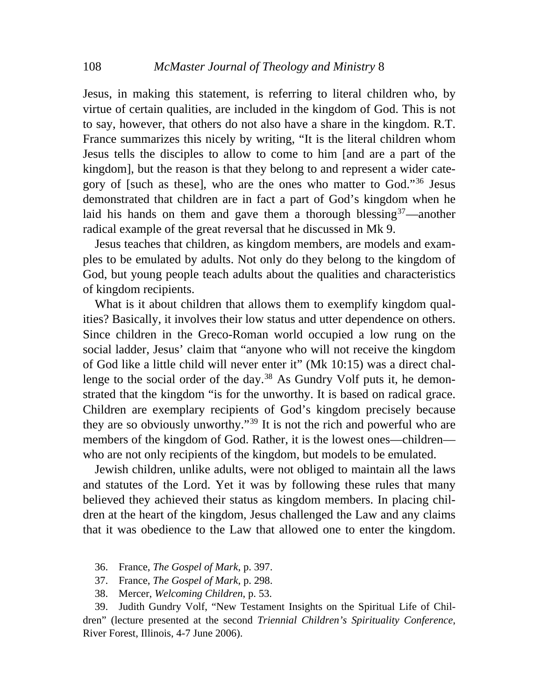Jesus, in making this statement, is referring to literal children who, by virtue of certain qualities, are included in the kingdom of God. This is not to say, however, that others do not also have a share in the kingdom. R.T. France summarizes this nicely by writing, "It is the literal children whom Jesus tells the disciples to allow to come to him [and are a part of the kingdom], but the reason is that they belong to and represent a wider category of [such as these], who are the ones who matter to God."[36](#page-11-0) Jesus demonstrated that children are in fact a part of God's kingdom when he laid his hands on them and gave them a thorough blessing<sup>[37](#page-11-1)</sup>—another radical example of the great reversal that he discussed in Mk 9.

 Jesus teaches that children, as kingdom members, are models and examples to be emulated by adults. Not only do they belong to the kingdom of God, but young people teach adults about the qualities and characteristics of kingdom recipients.

What is it about children that allows them to exemplify kingdom qualities? Basically, it involves their low status and utter dependence on others. Since children in the Greco-Roman world occupied a low rung on the social ladder, Jesus' claim that "anyone who will not receive the kingdom of God like a little child will never enter it" (Mk 10:15) was a direct chal-lenge to the social order of the day.<sup>[38](#page-11-2)</sup> As Gundry Volf puts it, he demonstrated that the kingdom "is for the unworthy. It is based on radical grace. Children are exemplary recipients of God's kingdom precisely because they are so obviously unworthy."[39](#page-11-3) It is not the rich and powerful who are members of the kingdom of God. Rather, it is the lowest ones—children who are not only recipients of the kingdom, but models to be emulated.

 Jewish children, unlike adults, were not obliged to maintain all the laws and statutes of the Lord. Yet it was by following these rules that many believed they achieved their status as kingdom members. In placing children at the heart of the kingdom, Jesus challenged the Law and any claims that it was obedience to the Law that allowed one to enter the kingdom.

- 36. France, *The Gospel of Mark*, p. 397.
- 37. France, *The Gospel of Mark*, p. 298.
- 38. Mercer, *Welcoming Children*, p. 53.

<span id="page-11-3"></span><span id="page-11-2"></span><span id="page-11-1"></span><span id="page-11-0"></span> 39. Judith Gundry Volf, "New Testament Insights on the Spiritual Life of Children" (lecture presented at the second *Triennial Children's Spirituality Conference*, River Forest, Illinois, 4-7 June 2006).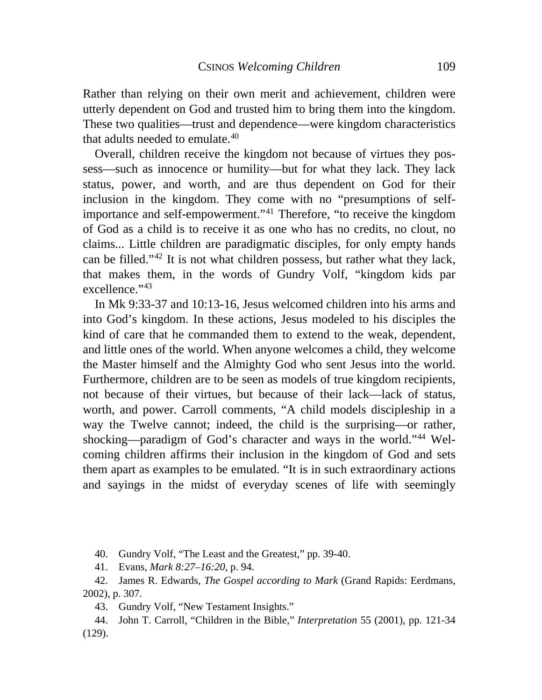Rather than relying on their own merit and achievement, children were utterly dependent on God and trusted him to bring them into the kingdom. These two qualities—trust and dependence—were kingdom characteristics that adults needed to emulate. $40$ 

 Overall, children receive the kingdom not because of virtues they possess—such as innocence or humility—but for what they lack. They lack status, power, and worth, and are thus dependent on God for their inclusion in the kingdom. They come with no "presumptions of selfimportance and self-empowerment."[41](#page-12-1) Therefore, "to receive the kingdom of God as a child is to receive it as one who has no credits, no clout, no claims... Little children are paradigmatic disciples, for only empty hands can be filled."[42](#page-12-2) It is not what children possess, but rather what they lack, that makes them, in the words of Gundry Volf, "kingdom kids par excellence."[43](#page-12-3)

 In Mk 9:33-37 and 10:13-16, Jesus welcomed children into his arms and into God's kingdom. In these actions, Jesus modeled to his disciples the kind of care that he commanded them to extend to the weak, dependent, and little ones of the world. When anyone welcomes a child, they welcome the Master himself and the Almighty God who sent Jesus into the world. Furthermore, children are to be seen as models of true kingdom recipients, not because of their virtues, but because of their lack—lack of status, worth, and power. Carroll comments, "A child models discipleship in a way the Twelve cannot; indeed, the child is the surprising—or rather, shocking—paradigm of God's character and ways in the world."<sup>[44](#page-12-4)</sup> Welcoming children affirms their inclusion in the kingdom of God and sets them apart as examples to be emulated. "It is in such extraordinary actions and sayings in the midst of everyday scenes of life with seemingly

40. Gundry Volf, "The Least and the Greatest," pp. 39-40.

41. Evans, *Mark 8:27–16:20*, p. 94.

<span id="page-12-2"></span><span id="page-12-1"></span><span id="page-12-0"></span> 42. James R. Edwards, *The Gospel according to Mark* (Grand Rapids: Eerdmans, 2002), p. 307.

43. Gundry Volf, "New Testament Insights."

<span id="page-12-4"></span><span id="page-12-3"></span> 44. John T. Carroll, "Children in the Bible," *Interpretation* 55 (2001), pp. 121-34 (129).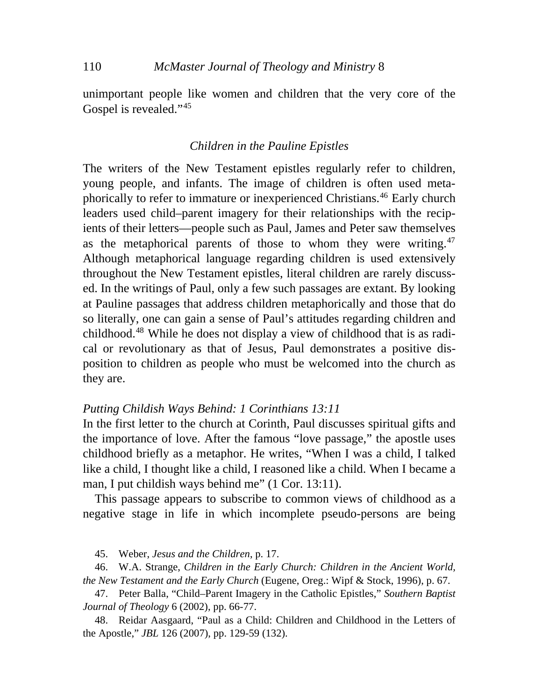unimportant people like women and children that the very core of the Gospel is revealed."<sup>[45](#page-13-0)</sup>

## *Children in the Pauline Epistles*

The writers of the New Testament epistles regularly refer to children, young people, and infants. The image of children is often used metaphorically to refer to immature or inexperienced Christians.[46](#page-13-1) Early church leaders used child–parent imagery for their relationships with the recipients of their letters—people such as Paul, James and Peter saw themselves as the metaphorical parents of those to whom they were writing.<sup>[47](#page-13-2)</sup> Although metaphorical language regarding children is used extensively throughout the New Testament epistles, literal children are rarely discussed. In the writings of Paul, only a few such passages are extant. By looking at Pauline passages that address children metaphorically and those that do so literally, one can gain a sense of Paul's attitudes regarding children and childhood.[48](#page-13-3) While he does not display a view of childhood that is as radical or revolutionary as that of Jesus, Paul demonstrates a positive disposition to children as people who must be welcomed into the church as they are.

#### *Putting Childish Ways Behind: 1 Corinthians 13:11*

In the first letter to the church at Corinth, Paul discusses spiritual gifts and the importance of love. After the famous "love passage," the apostle uses childhood briefly as a metaphor. He writes, "When I was a child, I talked like a child, I thought like a child, I reasoned like a child. When I became a man, I put childish ways behind me" (1 Cor. 13:11).

 This passage appears to subscribe to common views of childhood as a negative stage in life in which incomplete pseudo-persons are being

45. Weber, *Jesus and the Children*, p. 17.

<span id="page-13-1"></span><span id="page-13-0"></span> 46. W.A. Strange, *Children in the Early Church: Children in the Ancient World, the New Testament and the Early Church* (Eugene, Oreg.: Wipf & Stock, 1996), p. 67.

<span id="page-13-2"></span> 47. Peter Balla, "Child–Parent Imagery in the Catholic Epistles," *Southern Baptist Journal of Theology* 6 (2002), pp. 66-77.

<span id="page-13-3"></span> 48. Reidar Aasgaard, "Paul as a Child: Children and Childhood in the Letters of the Apostle," *JBL* 126 (2007), pp. 129-59 (132).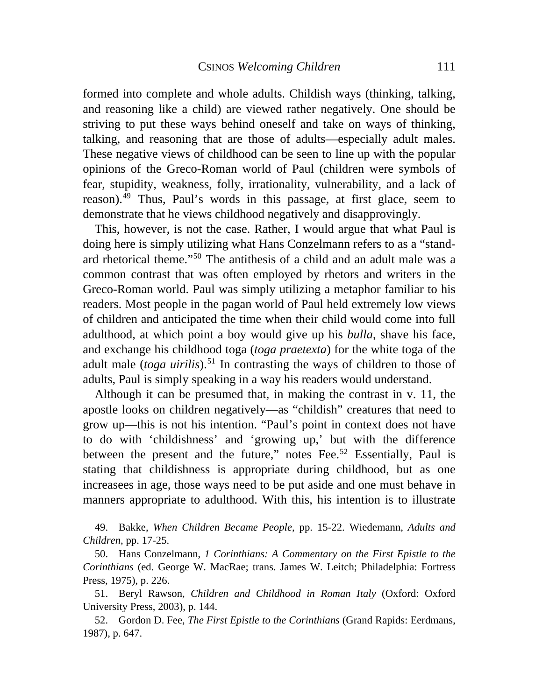formed into complete and whole adults. Childish ways (thinking, talking, and reasoning like a child) are viewed rather negatively. One should be striving to put these ways behind oneself and take on ways of thinking, talking, and reasoning that are those of adults—especially adult males. These negative views of childhood can be seen to line up with the popular opinions of the Greco-Roman world of Paul (children were symbols of fear, stupidity, weakness, folly, irrationality, vulnerability, and a lack of reason).[49](#page-14-0) Thus, Paul's words in this passage, at first glace, seem to demonstrate that he views childhood negatively and disapprovingly.

 This, however, is not the case. Rather, I would argue that what Paul is doing here is simply utilizing what Hans Conzelmann refers to as a "standard rhetorical theme."[50](#page-14-1) The antithesis of a child and an adult male was a common contrast that was often employed by rhetors and writers in the Greco-Roman world. Paul was simply utilizing a metaphor familiar to his readers. Most people in the pagan world of Paul held extremely low views of children and anticipated the time when their child would come into full adulthood, at which point a boy would give up his *bulla*, shave his face, and exchange his childhood toga (*toga praetexta*) for the white toga of the adult male (*toga uirilis*).<sup>[51](#page-14-2)</sup> In contrasting the ways of children to those of adults, Paul is simply speaking in a way his readers would understand.

 Although it can be presumed that, in making the contrast in v. 11, the apostle looks on children negatively—as "childish" creatures that need to grow up—this is not his intention. "Paul's point in context does not have to do with 'childishness' and 'growing up,' but with the difference between the present and the future," notes Fee.<sup>[52](#page-14-3)</sup> Essentially, Paul is stating that childishness is appropriate during childhood, but as one increasees in age, those ways need to be put aside and one must behave in manners appropriate to adulthood. With this, his intention is to illustrate

<span id="page-14-0"></span> 49. Bakke, *When Children Became People*, pp. 15-22. Wiedemann, *Adults and Children*, pp. 17-25.

<span id="page-14-1"></span> 50. Hans Conzelmann, *1 Corinthians: A Commentary on the First Epistle to the Corinthians* (ed. George W. MacRae; trans. James W. Leitch; Philadelphia: Fortress Press, 1975), p. 226.

<span id="page-14-2"></span> 51. Beryl Rawson, *Children and Childhood in Roman Italy* (Oxford: Oxford University Press, 2003), p. 144.

<span id="page-14-3"></span> 52. Gordon D. Fee, *The First Epistle to the Corinthians* (Grand Rapids: Eerdmans, 1987), p. 647.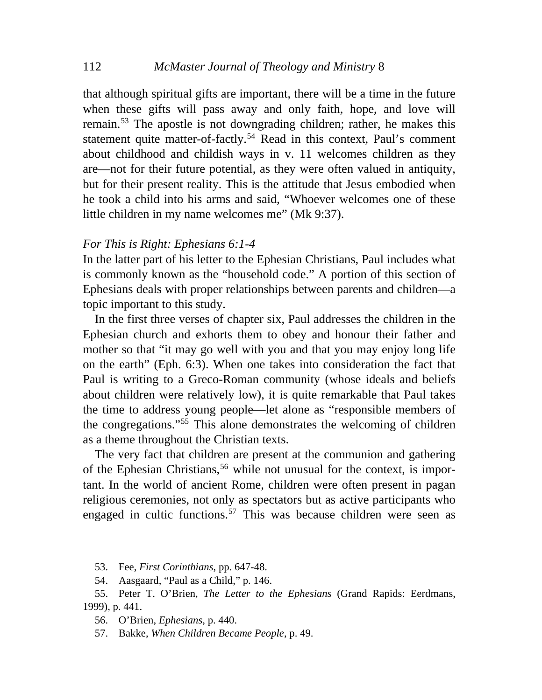that although spiritual gifts are important, there will be a time in the future when these gifts will pass away and only faith, hope, and love will remain.[53](#page-15-0) The apostle is not downgrading children; rather, he makes this statement quite matter-of-factly.<sup>[54](#page-15-1)</sup> Read in this context, Paul's comment about childhood and childish ways in v. 11 welcomes children as they are—not for their future potential, as they were often valued in antiquity, but for their present reality. This is the attitude that Jesus embodied when he took a child into his arms and said, "Whoever welcomes one of these little children in my name welcomes me" (Mk 9:37).

#### *For This is Right: Ephesians 6:1-4*

In the latter part of his letter to the Ephesian Christians, Paul includes what is commonly known as the "household code." A portion of this section of Ephesians deals with proper relationships between parents and children—a topic important to this study.

 In the first three verses of chapter six, Paul addresses the children in the Ephesian church and exhorts them to obey and honour their father and mother so that "it may go well with you and that you may enjoy long life on the earth" (Eph. 6:3). When one takes into consideration the fact that Paul is writing to a Greco-Roman community (whose ideals and beliefs about children were relatively low), it is quite remarkable that Paul takes the time to address young people—let alone as "responsible members of the congregations."[55](#page-15-2) This alone demonstrates the welcoming of children as a theme throughout the Christian texts.

 The very fact that children are present at the communion and gathering of the Ephesian Christians,<sup>[56](#page-15-3)</sup> while not unusual for the context, is important. In the world of ancient Rome, children were often present in pagan religious ceremonies, not only as spectators but as active participants who engaged in cultic functions.<sup>[57](#page-15-4)</sup> This was because children were seen as

53. Fee, *First Corinthians*, pp. 647-48.

54. Aasgaard, "Paul as a Child," p. 146.

<span id="page-15-4"></span><span id="page-15-3"></span><span id="page-15-2"></span><span id="page-15-1"></span><span id="page-15-0"></span> 55. Peter T. O'Brien, *The Letter to the Ephesians* (Grand Rapids: Eerdmans, 1999), p. 441.

56. O'Brien, *Ephesians*, p. 440.

57. Bakke, *When Children Became People*, p. 49.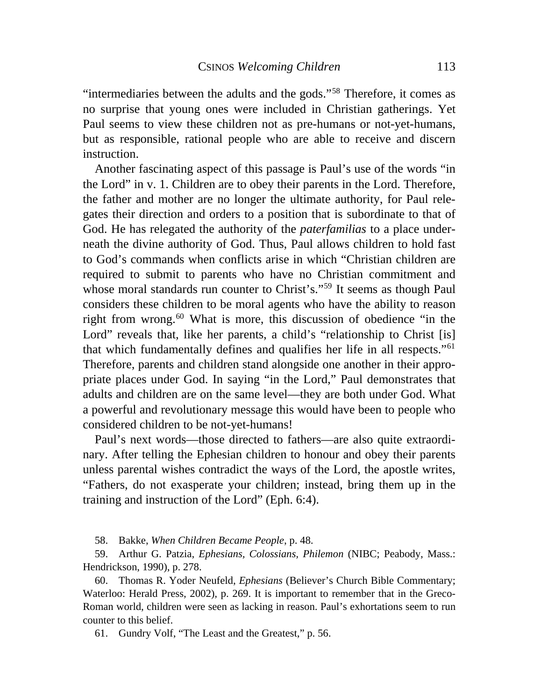"intermediaries between the adults and the gods."[58](#page-16-0) Therefore, it comes as no surprise that young ones were included in Christian gatherings. Yet Paul seems to view these children not as pre-humans or not-yet-humans, but as responsible, rational people who are able to receive and discern instruction.

 Another fascinating aspect of this passage is Paul's use of the words "in the Lord" in v. 1. Children are to obey their parents in the Lord. Therefore, the father and mother are no longer the ultimate authority, for Paul relegates their direction and orders to a position that is subordinate to that of God. He has relegated the authority of the *paterfamilias* to a place underneath the divine authority of God. Thus, Paul allows children to hold fast to God's commands when conflicts arise in which "Christian children are required to submit to parents who have no Christian commitment and whose moral standards run counter to Christ's."<sup>[59](#page-16-1)</sup> It seems as though Paul considers these children to be moral agents who have the ability to reason right from wrong.<sup>[60](#page-16-2)</sup> What is more, this discussion of obedience "in the Lord" reveals that, like her parents, a child's "relationship to Christ [is] that which fundamentally defines and qualifies her life in all respects."[61](#page-16-3) Therefore, parents and children stand alongside one another in their appropriate places under God. In saying "in the Lord," Paul demonstrates that adults and children are on the same level—they are both under God. What a powerful and revolutionary message this would have been to people who considered children to be not-yet-humans!

 Paul's next words—those directed to fathers—are also quite extraordinary. After telling the Ephesian children to honour and obey their parents unless parental wishes contradict the ways of the Lord, the apostle writes, "Fathers, do not exasperate your children; instead, bring them up in the training and instruction of the Lord" (Eph. 6:4).

58. Bakke, *When Children Became People*, p. 48.

<span id="page-16-1"></span><span id="page-16-0"></span> 59. Arthur G. Patzia, *Ephesians, Colossians, Philemon* (NIBC; Peabody, Mass.: Hendrickson, 1990), p. 278.

<span id="page-16-2"></span> 60. Thomas R. Yoder Neufeld, *Ephesians* (Believer's Church Bible Commentary; Waterloo: Herald Press, 2002), p. 269. It is important to remember that in the Greco-Roman world, children were seen as lacking in reason. Paul's exhortations seem to run counter to this belief.

<span id="page-16-3"></span>61. Gundry Volf, "The Least and the Greatest," p. 56.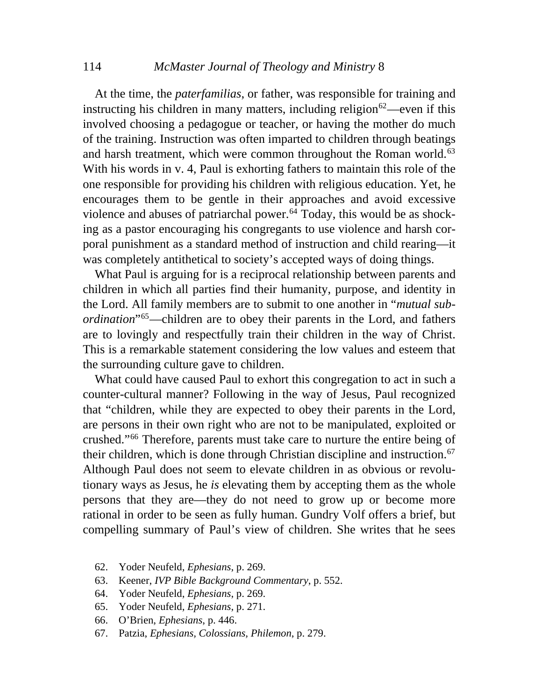#### 114 *McMaster Journal of Theology and Ministry* 8

 At the time, the *paterfamilias*, or father, was responsible for training and instructing his children in many matters, including religion<sup>[62](#page-17-0)</sup>—even if this involved choosing a pedagogue or teacher, or having the mother do much of the training. Instruction was often imparted to children through beatings and harsh treatment, which were common throughout the Roman world.<sup>[63](#page-17-1)</sup> With his words in v. 4, Paul is exhorting fathers to maintain this role of the one responsible for providing his children with religious education. Yet, he encourages them to be gentle in their approaches and avoid excessive violence and abuses of patriarchal power. $64$  Today, this would be as shocking as a pastor encouraging his congregants to use violence and harsh corporal punishment as a standard method of instruction and child rearing—it was completely antithetical to society's accepted ways of doing things.

 What Paul is arguing for is a reciprocal relationship between parents and children in which all parties find their humanity, purpose, and identity in the Lord. All family members are to submit to one another in "*mutual subordination*"[65](#page-17-3)—children are to obey their parents in the Lord, and fathers are to lovingly and respectfully train their children in the way of Christ. This is a remarkable statement considering the low values and esteem that the surrounding culture gave to children.

 What could have caused Paul to exhort this congregation to act in such a counter-cultural manner? Following in the way of Jesus, Paul recognized that "children, while they are expected to obey their parents in the Lord, are persons in their own right who are not to be manipulated, exploited or crushed."[66](#page-17-4) Therefore, parents must take care to nurture the entire being of their children, which is done through Christian discipline and instruction.<sup>[67](#page-17-5)</sup> Although Paul does not seem to elevate children in as obvious or revolutionary ways as Jesus, he *is* elevating them by accepting them as the whole persons that they are—they do not need to grow up or become more rational in order to be seen as fully human. Gundry Volf offers a brief, but compelling summary of Paul's view of children. She writes that he sees

- <span id="page-17-0"></span>62. Yoder Neufeld, *Ephesians*, p. 269.
- <span id="page-17-1"></span>63. Keener, *IVP Bible Background Commentary*, p. 552.
- <span id="page-17-2"></span>64. Yoder Neufeld, *Ephesians*, p. 269.
- <span id="page-17-3"></span>65. Yoder Neufeld, *Ephesians*, p. 271.
- <span id="page-17-4"></span>66. O'Brien, *Ephesians*, p. 446.
- <span id="page-17-5"></span>67. Patzia, *Ephesians, Colossians, Philemon*, p. 279.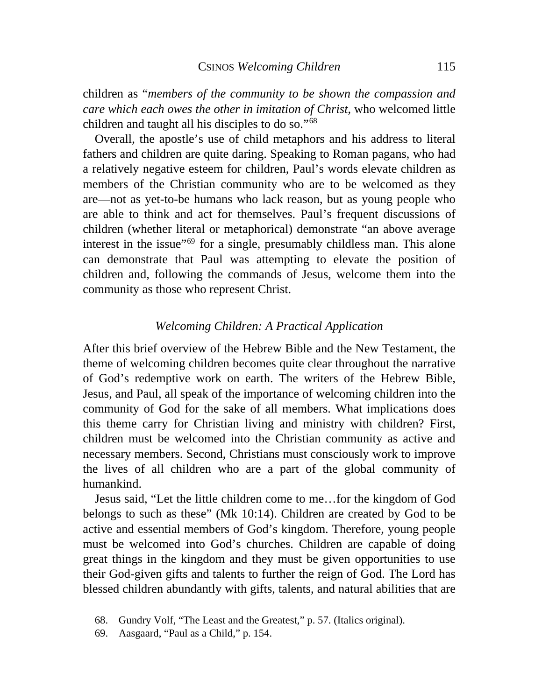children as "*members of the community to be shown the compassion and care which each owes the other in imitation of Christ*, who welcomed little children and taught all his disciples to do so."[68](#page-18-0)

 Overall, the apostle's use of child metaphors and his address to literal fathers and children are quite daring. Speaking to Roman pagans, who had a relatively negative esteem for children, Paul's words elevate children as members of the Christian community who are to be welcomed as they are—not as yet-to-be humans who lack reason, but as young people who are able to think and act for themselves. Paul's frequent discussions of children (whether literal or metaphorical) demonstrate "an above average interest in the issue<sup>"[69](#page-18-1)</sup> for a single, presumably childless man. This alone can demonstrate that Paul was attempting to elevate the position of children and, following the commands of Jesus, welcome them into the community as those who represent Christ.

## *Welcoming Children: A Practical Application*

After this brief overview of the Hebrew Bible and the New Testament, the theme of welcoming children becomes quite clear throughout the narrative of God's redemptive work on earth. The writers of the Hebrew Bible, Jesus, and Paul, all speak of the importance of welcoming children into the community of God for the sake of all members. What implications does this theme carry for Christian living and ministry with children? First, children must be welcomed into the Christian community as active and necessary members. Second, Christians must consciously work to improve the lives of all children who are a part of the global community of humankind.

 Jesus said, "Let the little children come to me…for the kingdom of God belongs to such as these" (Mk 10:14). Children are created by God to be active and essential members of God's kingdom. Therefore, young people must be welcomed into God's churches. Children are capable of doing great things in the kingdom and they must be given opportunities to use their God-given gifts and talents to further the reign of God. The Lord has blessed children abundantly with gifts, talents, and natural abilities that are

<span id="page-18-1"></span>69. Aasgaard, "Paul as a Child," p. 154.

<span id="page-18-0"></span> <sup>68.</sup> Gundry Volf, "The Least and the Greatest," p. 57. (Italics original).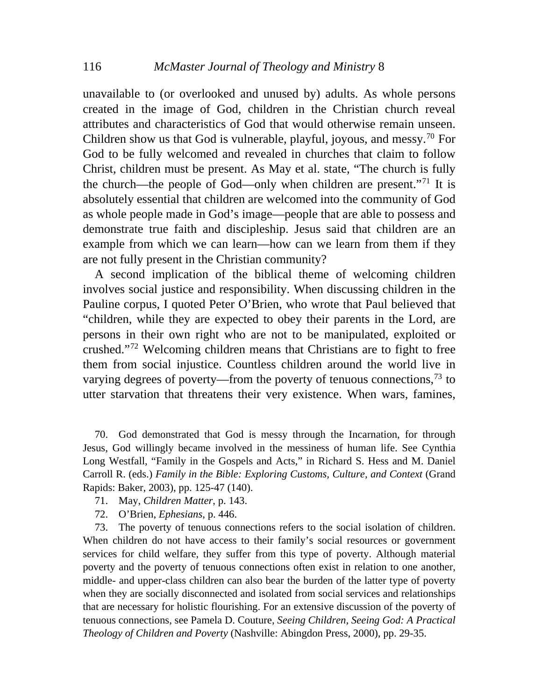unavailable to (or overlooked and unused by) adults. As whole persons created in the image of God, children in the Christian church reveal attributes and characteristics of God that would otherwise remain unseen. Children show us that God is vulnerable, playful, joyous, and messy.<sup>[70](#page-19-0)</sup> For God to be fully welcomed and revealed in churches that claim to follow Christ, children must be present. As May et al. state, "The church is fully the church—the people of God—only when children are present."[71](#page-19-1) It is absolutely essential that children are welcomed into the community of God as whole people made in God's image—people that are able to possess and demonstrate true faith and discipleship. Jesus said that children are an example from which we can learn—how can we learn from them if they are not fully present in the Christian community?

 A second implication of the biblical theme of welcoming children involves social justice and responsibility. When discussing children in the Pauline corpus, I quoted Peter O'Brien, who wrote that Paul believed that "children, while they are expected to obey their parents in the Lord, are persons in their own right who are not to be manipulated, exploited or crushed."[72](#page-19-2) Welcoming children means that Christians are to fight to free them from social injustice. Countless children around the world live in varying degrees of poverty—from the poverty of tenuous connections,<sup>[73](#page-19-3)</sup> to utter starvation that threatens their very existence. When wars, famines,

<span id="page-19-0"></span> 70. God demonstrated that God is messy through the Incarnation, for through Jesus, God willingly became involved in the messiness of human life. See Cynthia Long Westfall, "Family in the Gospels and Acts," in Richard S. Hess and M. Daniel Carroll R. (eds.) *Family in the Bible: Exploring Customs, Culture, and Context* (Grand Rapids: Baker, 2003), pp. 125-47 (140).

- 71. May, *Children Matter*, p. 143.
- 72. O'Brien, *Ephesians*, p. 446.

<span id="page-19-3"></span><span id="page-19-2"></span><span id="page-19-1"></span> 73. The poverty of tenuous connections refers to the social isolation of children. When children do not have access to their family's social resources or government services for child welfare, they suffer from this type of poverty. Although material poverty and the poverty of tenuous connections often exist in relation to one another, middle- and upper-class children can also bear the burden of the latter type of poverty when they are socially disconnected and isolated from social services and relationships that are necessary for holistic flourishing. For an extensive discussion of the poverty of tenuous connections, see Pamela D. Couture, *Seeing Children, Seeing God: A Practical Theology of Children and Poverty* (Nashville: Abingdon Press, 2000), pp. 29-35.